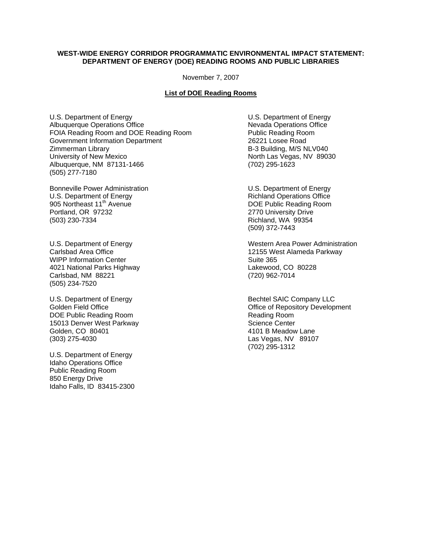## **WEST-WIDE ENERGY CORRIDOR PROGRAMMATIC ENVIRONMENTAL IMPACT STATEMENT: DEPARTMENT OF ENERGY (DOE) READING ROOMS AND PUBLIC LIBRARIES**

November 7, 2007

## **List of DOE Reading Rooms**

U.S. Department of Energy<br>Albuquerque Operations Office<br>
Albuquerque Operations Office<br>
Nevada Operations Office Albuquerque Operations Office<br>
FOIA Reading Room and DOE Reading Room<br>
Public Reading Room FOIA Reading Room and DOE Reading Room Public Reading Room FOIA Reading Room Public Reading Room Covernment Information Department Government Information Department Zimmerman Library B-3 Building, M/S NLV040 University of New Mexico North Las Vegas, NV 89030 Albuquerque, NM 87131-1466 (702) 295-1623 (505) 277-7180

Bonneville Power Administration<br>
U.S. Department of Energy<br>
U.S. Department of Energy<br>
U.S. Department of Energy example and the state of the state of the problem of the DOE Public Reading Room Portland, OR 97232 2770 University Drive (503) 230-7334 Richland, WA 99354

WIPP Information Center **Suite 365** Suite 365 4021 National Parks Highway Lakewood, CO 80228 Carlsbad, NM 88221 (720) 962-7014 (505) 234-7520

DOE Public Reading Room **Reading Room** Reading Room 15013 Denver West Parkway New York Charles Science Center Golden, CO 80401 **4101 B Meadow Lane** (303) 275-4030 Las Vegas, NV 89107

U.S. Department of Energy Idaho Operations Office Public Reading Room 850 Energy Drive Idaho Falls, ID 83415-2300

**Richland Operations Office** 2770 University Drive (509) 372-7443

U.S. Department of Energy Western Area Power Administration Carlsbad Area Office 12155 West Alameda Parkway

U.S. Department of Energy **Bechtel SAIC Company LLC**<br>Golden Field Office **Bechines** Company Company Company Company Company Company Company Company Company Company Office of Repository Development (702) 295-1312